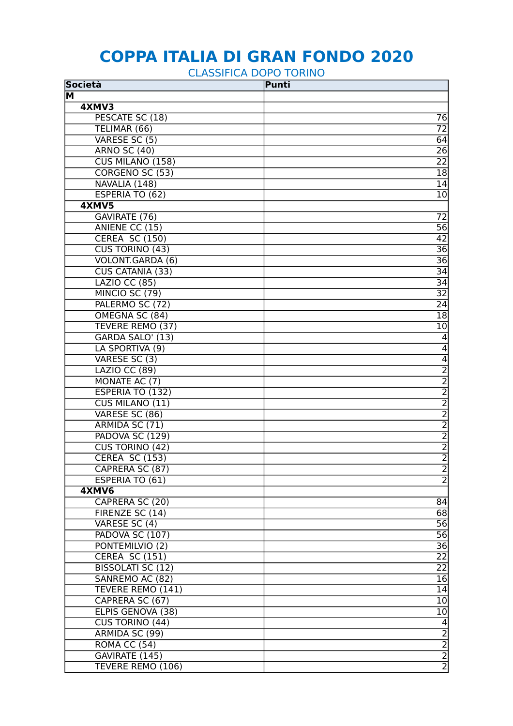## **COPPA ITALIA DI GRAN FONDO 2020**

CLASSIFICA DOPO TORINO

| <b>Società</b>           | Punti |                                           |
|--------------------------|-------|-------------------------------------------|
| $\overline{\mathsf{M}}$  |       |                                           |
| 4XMV3                    |       |                                           |
| PESCATE SC (18)          |       | 76                                        |
| TELIMAR (66)             |       | $\overline{72}$                           |
| VARESE SC (5)            |       | 64                                        |
| <b>ARNO SC (40)</b>      |       | 26                                        |
| <b>CUS MILANO (158)</b>  |       | 22                                        |
| CORGENO SC (53)          |       | 18                                        |
| NAVALIA (148)            |       | 14                                        |
| <b>ESPERIA TO (62)</b>   |       | $\overline{10}$                           |
| 4XMV5                    |       |                                           |
| GAVIRATE (76)            |       | $\overline{72}$                           |
| ANIENE CC (15)           |       | 56                                        |
| <b>CEREA SC (150)</b>    |       | 42                                        |
| <b>CUS TORINO (43)</b>   |       | 36                                        |
| VOLONT.GARDA (6)         |       | 36                                        |
| <b>CUS CATANIA (33)</b>  |       | $\overline{34}$                           |
| <b>LAZIO CC (85)</b>     |       | $\overline{34}$                           |
| MINCIO SC (79)           |       | $\overline{32}$                           |
| PALERMO SC (72)          |       | $\overline{24}$                           |
| OMEGNA SC (84)           |       | $\overline{18}$                           |
| <b>TEVERE REMO (37)</b>  |       | 10                                        |
| GARDA SALO' (13)         |       | $\overline{4}$                            |
| LA SPORTIVA (9)          |       | $\overline{4}$                            |
| VARESE SC (3)            |       | $\overline{4}$                            |
| <b>LAZIO CC (89)</b>     |       | $\overline{2}$                            |
| MONATE AC (7)            |       |                                           |
| <b>ESPERIA TO (132)</b>  |       |                                           |
| <b>CUS MILANO (11)</b>   |       |                                           |
| VARESE SC (86)           |       |                                           |
| ARMIDA SC (71)           |       | $\frac{2}{2}$ $\frac{2}{2}$ $\frac{2}{2}$ |
| PADOVA SC (129)          |       |                                           |
| <b>CUS TORINO (42)</b>   |       |                                           |
| <b>CEREA SC (153)</b>    |       | $\frac{2}{2}$                             |
| CAPRERA SC (87)          |       |                                           |
| ESPERIA TO (61)          |       | $\frac{2}{2}$                             |
| 4XMV6                    |       |                                           |
| CAPRERA SC (20)          |       | 84                                        |
| FIRENZE SC (14)          |       | 68                                        |
| VARESE SC (4)            |       | 56                                        |
| PADOVA SC (107)          |       | $\overline{56}$                           |
| PONTEMILVIO (2)          |       | $\overline{36}$                           |
| <b>CEREA SC (151)</b>    |       | $\overline{22}$                           |
| <b>BISSOLATI SC (12)</b> |       | $\overline{22}$                           |
| SANREMO AC (82)          |       | $\overline{16}$                           |
| TEVERE REMO (141)        |       | 14                                        |
| CAPRERA SC (67)          |       | 10                                        |
| ELPIS GENOVA (38)        |       | 10                                        |
| CUS TORINO (44)          |       | $\overline{4}$                            |
| ARMIDA SC (99)           |       |                                           |
| <b>ROMA CC (54)</b>      |       |                                           |
| GAVIRATE (145)           |       |                                           |
| <b>TEVERE REMO (106)</b> |       | $\frac{2}{2}$                             |
|                          |       |                                           |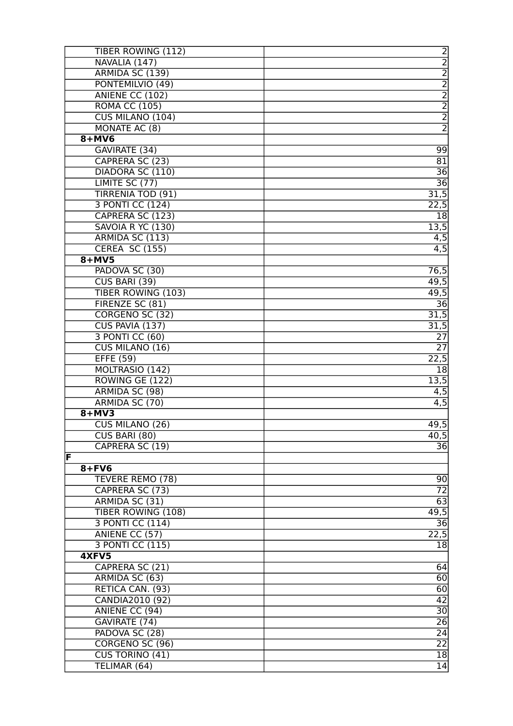| TIBER ROWING (112)               |                         |
|----------------------------------|-------------------------|
| NAVALIA (147)                    |                         |
| ARMIDA SC (139)                  |                         |
| PONTEMILVIO (49)                 |                         |
| ANIENE CC (102)                  | ט ט ט ט ט ט ט           |
| <b>ROMA CC (105)</b>             |                         |
| <b>CUS MILANO (104)</b>          |                         |
| MONATE AC (8)                    | $\overline{2}$          |
| $8+MV6$                          |                         |
| GAVIRATE (34)                    | 99                      |
| CAPRERA SC (23)                  | $\overline{81}$         |
| DIADORA SC (110)                 | 36                      |
| LIMITE SC (77)                   | $\overline{36}$         |
| <b>TIRRENIA TOD (91)</b>         | 31,5                    |
| 3 PONTI CC (124)                 | 22,5                    |
| CAPRERA SC (123)                 | 18                      |
| SAVOIA R YC (130)                | $\overline{13,5}$       |
| ARMIDA SC (113)                  | $\overline{4,5}$        |
| <b>CEREA SC (155)</b>            | $\overline{4,5}$        |
| $8+MV5$                          |                         |
| PADOVA SC (30)                   | 76,5                    |
| <b>CUS BARI (39)</b>             | 49,5                    |
| <b>TIBER ROWING (103)</b>        | 49,5                    |
| FIRENZE SC (81)                  | $\overline{36}$         |
| CORGENO SC (32)                  | 31,5                    |
| CUS PAVIA (137)                  | 31,5                    |
| 3 PONTI CC (60)                  | $\overline{27}$         |
| CUS MILANO (16)                  | $\overline{27}$         |
| <b>EFFE (59)</b>                 | 22,5                    |
| MOLTRASIO (142)                  | 18                      |
| ROWING GE (122)                  | 13,5                    |
| ARMIDA SC (98)                   | 4,5                     |
| ARMIDA SC (70)<br>$8+MV3$        | $\overline{4,5}$        |
| CUS MILANO (26)                  | 49,5                    |
|                                  |                         |
| CUS BARI (80)<br>CAPRERA SC (19) | 40,5<br>$\overline{36}$ |
| F                                |                         |
| $8 + FV6$                        |                         |
| TEVERE REMO (78)                 | 90                      |
| CAPRERA SC (73)                  | $\overline{72}$         |
| ARMIDA SC (31)                   | 63                      |
| <b>TIBER ROWING (108)</b>        | 49,5                    |
| 3 PONTI CC (114)                 | $\overline{36}$         |
| ANIENE CC (57)                   | $\overline{22,5}$       |
| 3 PONTI CC (115)                 | $\overline{18}$         |
| 4XFV5                            |                         |
| CAPRERA SC (21)                  | 64                      |
| ARMIDA SC (63)                   | 60                      |
| RETICA CAN. (93)                 | 60                      |
| CANDIA2010 (92)                  | $\overline{42}$         |
| ANIENE CC (94)                   | $\overline{30}$         |
| GAVIRATE (74)                    | $\overline{26}$         |
| PADOVA SC (28)                   | 24                      |
| CORGENO SC (96)                  | $\overline{22}$         |
| CUS TORINO (41)                  | 18                      |
| TELIMAR (64)                     | 14                      |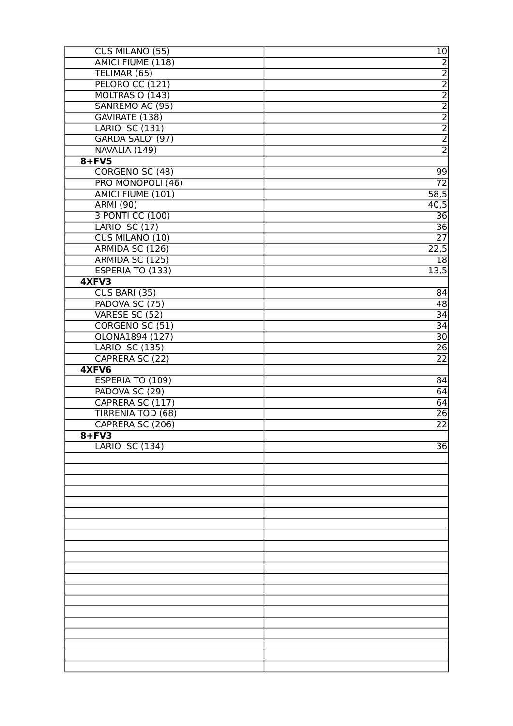| CUS MILANO (55)          | 10              |
|--------------------------|-----------------|
| AMICI FIUME (118)        | $\overline{2}$  |
| TELIMAR (65)             |                 |
| PELORO CC (121)          |                 |
| MOLTRASIO (143)          | $\frac{2}{2}$   |
| SANREMO AC (95)          | $\overline{2}$  |
| GAVIRATE (138)           | $\overline{2}$  |
| <b>LARIO SC (131)</b>    |                 |
| GARDA SALO' (97)         | $\frac{2}{2}$   |
| NAVALIA (149)            | $\overline{2}$  |
| $8 + FV5$                |                 |
| CORGENO SC (48)          | 99              |
| PRO MONOPOLI (46)        | 72              |
| <b>AMICI FIUME (101)</b> | 58,5            |
| <b>ARMI (90)</b>         | 40,5            |
| 3 PONTI CC (100)         | 36              |
| <b>LARIO SC (17)</b>     | 36              |
| <b>CUS MILANO (10)</b>   | $\overline{27}$ |
| ARMIDA SC (126)          | 22,5            |
| ARMIDA SC (125)          | 18              |
| <b>ESPERIA TO (133)</b>  | 13,5            |
| 4XFV3                    |                 |
| <b>CUS BARI (35)</b>     | 84              |
| PADOVA SC (75)           | $\overline{48}$ |
| VARESE SC (52)           | 34              |
| CORGENO SC (51)          | $\overline{34}$ |
| OLONA1894 (127)          | $\overline{30}$ |
| <b>LARIO SC (135)</b>    | $\overline{26}$ |
| CAPRERA SC (22)          | $\overline{22}$ |
| 4XFV6                    |                 |
| ESPERIA TO (109)         | 84              |
| PADOVA SC (29)           | 64              |
| CAPRERA SC (117)         | 64              |
| <b>TIRRENIA TOD (68)</b> | $\overline{26}$ |
| CAPRERA SC (206)         | $\overline{22}$ |
| $8 + FV3$                |                 |
| <b>LARIO SC (134)</b>    | 36              |
|                          |                 |
|                          |                 |
|                          |                 |
|                          |                 |
|                          |                 |
|                          |                 |
|                          |                 |
|                          |                 |
|                          |                 |
|                          |                 |
|                          |                 |
|                          |                 |
|                          |                 |
|                          |                 |
|                          |                 |
|                          |                 |
|                          |                 |
|                          |                 |
|                          |                 |
|                          |                 |